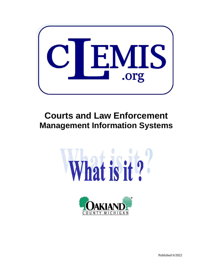

# **Courts and Law Enforcement Management Information Systems**





Published 6/2022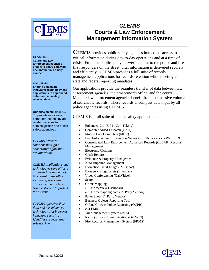

#### **PROBLEM: Courts and Law Enforcement agencies unable to share data with one another in a timely manner.**

#### **SOLUTION:**

**Sharing data using innovative technology and applications to apprehend, solve, and ultimately reduce crime.**

**Our mission statement …**  To provide innovative computer technology and related services to criminal justice and public safety agencies . . .

*CLEMIS provides solutions through a cooperative effort that are affordable.*

*CLEMIS applications and technologies save officers a tremendous amount of time spent in the office writing reports - this allows them more time "on the streets" to protect the citizens.*

*CLEMIS agencies share data and use advanced technology that improves homeland security, identifies suspects, and solves crime.*

### *CLEMIS* **Courts & Law Enforcement Management Information System**

**CLEMIS** provides public safety agencies immediate access to critical information during day-to-day operations and at a time of crisis. From the public safety answering point to the police and fire first responders on the street, vital information is delivered securely and efficiently. CLEMIS provides a full suite of records management applications for records retention while meeting all state and federal reporting mandates.

Our applications provide the seamless transfer of data between law enforcement agencies, the prosecutor's office, and the courts. Member law enforcement agencies benefit from the massive volume of searchable records. These records encompass data input by all police agencies using CLEMIS.

CLEMIS is a full suite of public safety applications:

- Enhanced 911 (E-911 Call-Taking)
- Computer Aided Dispatch (CAD)
- Mobile Data Computers (MDC)
- Law Enforcement Information Network (LEIN) access via WebLEIN
- Consolidated Law Enforcement Advanced Records (CLEAR) Records Management
- Electronic Citations
- Crash Reports
- Evidence & Property Management
- Auto-Impound Management
- Biometric Facial Images (Mugshot)
- Biometric Fingerprints (Livescan)
- Video Conferencing (OakVideo)
- **Search**
- Crime Mapping
	- CrimeView Dashboard
	- Crimemapping.com (3rd Party Vendor)
- Pawn Shop (3<sup>rd</sup> Party Vendor)
- Business Objects Reporting Tool
- Online Citizens Police Reporting (OCPR)
- *e*CLEMIS
- Jail Management System (JMS)
- Radio (Voice) Communication (OakWIN)
- Fire Records Management System (FRMS)

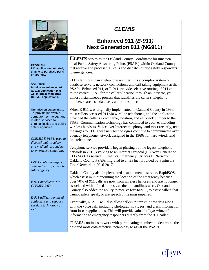

#### **PROBLEM: 911 application outdated, unable to purchase parts or upgrade.**

#### **SOLUTION: Provide an enhanced 911 (E-911) application that will interface with other CLEMIS applications.**

**Our mission statement …**  To provide innovative computer technology and related services to criminal justice and public safety agencies . . .

*CLEMIS E-911 is used to dispatch public safety and medical responders to emergency situations.*

*E-911 routes emergency calls to the proper public safety agency.*

*E-911 interfaces with CLEMIS CAD.*

*E-911 utilizes advanced equipment and supports wireless technology as well.*

## *CLEMIS*

### **Enhanced 911** *(E-911)* **Next Generation 911 (NG911)**

**CLEMIS** serves as the Oakland County Coordinator for nineteen local Public Safety Answering Points (PSAPs) within Oakland County that receive and process 911 calls and dispatch public safety responders to emergencies.

911 is far more than a telephone number. It is a complex system of database servers, network connections, and call-taking equipment at the PSAPs. Enhanced 911, or E-911, provide selective routing of 911 calls to the correct PSAP for the caller's location through an intricate, yet almost instantaneous process that identifies the caller's telephone number, searches a database, and routes the call.

When E-911 was originally implemented in Oakland County in 1986, most callers accessed 911 via wireline telephones, and the application provided the caller's exact name, location, and call-back number to the PSAP. Communication technology has continued to evolve, including wireless handsets, Voice over Internet telephony, and most recently, text messages to 911. These new technologies continue to communicate over a legacy telephone network designed in the 1960s for hard wired, land line telephones.

Telephone service providers began phasing out the legacy telephone network in 2015, evolving to an Internet Protocol (IP) Next Generation 911 (NG911) service, ESInet, or Emergency Services IP Network. Oakland County PSAPs migrated to an ESInet provided by Peninsula Fiber Network in 2016-2017.

Oakland County also implemented a supplemental service, RapidSOS, which assist in in pinpointing the location of the emergency because over 70% of 911 calls are now from wireless handsets and are no longer associated with a fixed address, as the old landlines were. Oakland County also added the ability to receive text-to-911, to assist callers that cannot safely speak, or are speech or hearing impaired.

Eventually, NG911 will also allow callers to transmit new data along with the voice call, including photographs, videos, and crash information from in-car applications. This will provide valuable "eye-witness" information to emergency responders directly from the 911 caller.

CLEMIS continues to work with participating members to determine the best and most cost-effective technology to assist the PSAPs.

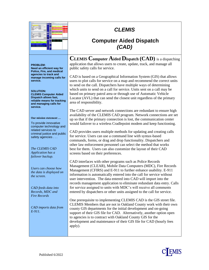| $+ -$                                                                   | <b>Time</b>                   | <b>Time</b><br>118 St Service                |                                                     |                                          |
|-------------------------------------------------------------------------|-------------------------------|----------------------------------------------|-----------------------------------------------------|------------------------------------------|
| <b>SALE PERCENT</b>                                                     | <b>Close Edits</b>            | be new into re-                              |                                                     |                                          |
| . .<br>ــ                                                               |                               | ×                                            | often constructs Linker againsters in harder cloice |                                          |
| -                                                                       | $\overline{\phantom{a}}$<br>۰ | ٠<br><b>DOM:</b>                             |                                                     |                                          |
| <b>MARITIME SAN SURVIVER</b><br><b>ALL</b>                              |                               | ÷                                            | By time branch in<br>stimum of                      | $\overline{a}$<br>$\mathbf{r}$<br>$\sim$ |
| <b>THE SALE EX</b>                                                      | ۰                             | <b>MAY</b>                                   |                                                     | <b>AGAN</b>                              |
| Anthony / Committee Season<br>at cases                                  |                               | ۰<br><br><b>A</b> CH                         |                                                     | art 14 Mar 184<br><b>STATISTICS</b>      |
| <b>M. Port out</b><br><b>SALT</b><br><b>Service</b>                     | ÷                             | <b>SA NO</b>                                 |                                                     | Analyz                                   |
| <b>MARINE LINE</b><br><b>STATISTICS</b><br><b>Silk and</b>              | ×                             | $\overline{a}$                               |                                                     | -                                        |
| $-1$<br><b>MARINEY A</b>                                                |                               | <b>Bally</b><br>≂<br>÷                       |                                                     | ٠                                        |
| -                                                                       | ≂                             | . .<br><b>STATE</b>                          |                                                     |                                          |
| 000<br>÷                                                                | ×                             | 10.84                                        |                                                     | <b>Andre</b><br>-                        |
|                                                                         |                               | <b>Builder</b><br>$\overline{N}$             |                                                     | ۰                                        |
|                                                                         |                               | $\overline{a}$<br>$\mathbf{u}$<br><b>HAN</b> |                                                     | <b>ATRICO</b>                            |
| $-$<br>-                                                                | <b>COMPANY</b>                | <b>Corporation</b><br>$\overline{a}$<br>÷    |                                                     |                                          |
| <b>Allen</b><br>admitted from broker top.                               |                               | <br>--<br><b>DOM:</b>                        |                                                     |                                          |
| <b>High duals from</b>                                                  | $-$                           | <b>COLOR</b><br>÷                            |                                                     |                                          |
| ×<br><b>THEFT</b><br><b>Bill Scott</b><br><b>Book</b>                   | -                             | <b>AND 1999</b>                              |                                                     |                                          |
| <b>Bill Miller Jones</b><br><b>Sec. 4</b><br><b>Service</b>             | --                            | w                                            |                                                     |                                          |
| <b>SECURITY</b><br><b>COLLECT</b><br><b>Scientist Service</b>           | -                             | <b>Sales</b>                                 |                                                     |                                          |
| --<br>street base in the                                                |                               |                                              |                                                     |                                          |
| $\sim$<br><b>Market</b>                                                 |                               | <b>ABLES</b>                                 |                                                     |                                          |
| $\alpha$                                                                |                               | m                                            |                                                     | <b>Listendo</b>                          |
|                                                                         |                               | m.                                           | In the committed or convent business                | to be detected                           |
| <b>HILLS</b><br>of MC lost 71214 State Law 213                          | <b>Contract</b>               | <b>Facer</b>                                 | --                                                  |                                          |
|                                                                         |                               | <b>The Contract</b>                          | $-100 - 100$                                        |                                          |
| $-2 - 4$<br>$\sim$<br><b>Brown &amp; Bay</b><br>$\sim$<br>$-241$        |                               |                                              | <b>STAR</b>                                         |                                          |
| ---<br><b>PER 18</b><br>----                                            |                               | ú.<br><b>Children</b>                        | m                                                   |                                          |
| also to:<br><b><i>CONTINUES</i></b>                                     |                               | <b>SAF</b>                                   |                                                     |                                          |
| <b>DOLLA</b><br>minimal approximately and engineering and               |                               | $-1$                                         |                                                     |                                          |
| on or one of<br>---<br>--<br>man and comes contributions and<br>--<br>۰ |                               | w                                            |                                                     |                                          |
| --<br><b>Secretary Control</b><br><b>STATE</b>                          |                               | w                                            |                                                     |                                          |
| <b>SALES AND A REPORTED HERE</b>                                        | -                             | <b>Wall</b>                                  |                                                     |                                          |
| <b>PERSONAL PROPERTY AND IN 1879 TO</b>                                 | ≕                             | <b>TELE</b>                                  |                                                     |                                          |
| <b><i>CONTRACTORS CARD IN THE</i></b>                                   | -                             | $\sim$<br><b>Call Ave.</b>                   |                                                     |                                          |
|                                                                         |                               | <b>Section</b>                               |                                                     |                                          |
|                                                                         | --                            | w                                            |                                                     |                                          |
|                                                                         |                               | w                                            |                                                     |                                          |
|                                                                         |                               |                                              |                                                     |                                          |
|                                                                         | --                            |                                              |                                                     |                                          |

### **Computer Aided Dispatch** *(CAD)*

#### **PROBLEM:**

**Need an efficient way for Police, Fire, and medical agencies to track and manage incoming calls for service.**

#### **SOLUTION:**

**CLEMIS Computer Aided Dispatch allows fast, reliable means for tracking and managing calls for service.**

#### **Our mission statement …**

To provide innovative computer technology and related services to criminal justice and public safety agencies . . .

*The CLEMIS CAD Application has a failover backup.*

*Users can choose how the data is displayed on the screen.*

*CAD feeds data into Records, MDC and Fire Records*

*CAD imports data from E-911.*

**CLEMIS Computer Aided Dispatch (CAD)** is a dispatching application that allows users to create, update, track, and manage all public safety calls for service.

CAD is based on a Geographical Information System (GIS) that allows users to plot calls for service on a map and recommend the correct units to send on the call. Dispatchers have multiple ways of determining which units to send on a call for service. Units sent on a call may be based on primary patrol area or through use of Automatic Vehicle Locator (AVL) that can send the closest unit regardless of the primary area of responsibility.

The CAD server and network connections are redundant to ensure high availability of the CLEMIS CAD program. Network connections are set up so that if the primary connection is lost, the communication center would failover to a wireless Cradlepoint modem and keep functioning.

CAD provides users multiple methods for updating and creating calls for service. Users can use a command line with syntax-based commands, forms, or drag and drop functionality. Dispatchers and other law enforcement personnel can select the method that works best for them. Users can also customize the layout of their CAD screens based on their preferences.

CAD interfaces with other programs such as Police Records Management (CLEAR), Mobile Data Computers (MDC), Fire Records Management (CFIRS) and E-911 to further enhance usability. E-911 information is automatically entered into the call for service without user intervention. The data entered into CAD will import into the records management application to eliminate redundant data entry. Calls for service assigned to units with MDC's will receive all comments entered by dispatchers or other units assigned to the call for service.

One prerequisite to implementing CLEMIS CAD is the GIS street file. CLEMIS Members that are not in Oakland County work with their own county GIS departments for the initial development and on-going support of their GIS file for CAD. Alternatively, another option open to agencies is to contract with Oakland County GIS for the development and maintenance of their GIS file for CAD (hourly fees apply).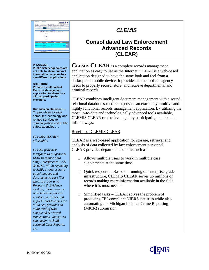

#### **PROBLEM:**

**Public Safety agencies are not able to share criminal information because they use different applications.**

#### **SOLUTION:**

**Provide a multi-tasked Records Management application to share data with all participating members.**

**Our mission statement …**  To provide innovative computer technology and related services to criminal justice and public safety agencies . . .

*CLEMIS CLEAR is affordable.*

#### *CLEAR provides: interfaces to Mugshot & LEIN to reduce data entry, interfaces to CAD & MDC, MICR reporting to MSP, allows users to attach images and documents to case files, exports property to Property & Evidence module, allows users to send letters to persons involved in crimes and import notes to cases for all to see, provides an audit trail of who completed & viewed*

*transactions , detectives can easily track all assigned Case Reports, etc.*

## *CLEMIS*

### **Consolidated Law Enforcement Advanced Records (CLEAR)**

**CLEMIS CLEAR** is a complete records management application as easy to use as the Internet. CLEAR is a web-based application designed to have the same look and feel from a desktop or a mobile device. It provides all the tools an agency needs to properly record, store, and retrieve departmental and criminal records.

CLEAR combines intelligent document management with a sound relational database structure to provide an extremely intuitive and highly functional records management application. By utilizing the most up-to-date and technologically advanced tools available, CLEMIS CLEAR can be leveraged by participating members in infinite ways.

#### Benefits of CLEMIS CLEAR

CLEAR is a web-based application for storage, retrieval and analysis of data collected by law enforcement personnel. CLEAR provides department benefits such as:

- $\Box$  Allows multiple users to work in multiple case supplements at the same time.
- $\Box$  Quick response Based on running on enterprise grade infrastructure, CLEMIS CLEAR serves up millions of records making more information available in the field where it is most needed.
- $\Box$ Simplified tasks – CLEAR solves the problem of producing FBI-compliant NIBRS statistics while also automating the Michigan Incident Crime Reporting (MICR) submission.

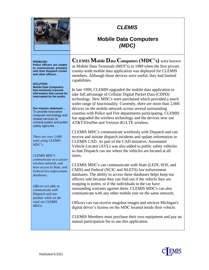

### **Mobile Data Computers** *(MDC)*

#### **PROBLEM:**

**Police officers are unable to communicate privately with their Dispatch Center and other officers.**

#### **SOLUTION:**

**Mobile Data Computers that wirelessly transmit information that cannot be intercepted by the public.**

**Our mission statement …**  To provide innovative computer technology and related services to criminal justice and public safety agencies . . .

*There are over 2,000 units using CLEMIS MDC's.*

*CLEMIS MDC's communicate on a secure wireless network, and have access to State, and Federal law enforcement databases.*

*Officers are able to communicate with Dispatch and one another while on the road via CLEMIS MDCs.*

**CLEMIS Mobile Data Computers (MDC's)** were known as Mobile Data Terminals (MDT's) in 1989 when the first private county-wide mobile data application was deployed for CLEMIS members. Although those devices were useful, they had limited capabilities.

In late 1999, CLEMIS upgraded the mobile data application to take full advantage of Cellular Digital Packet Data (CDPD) technology. New MDC's were purchased which provided a much wider range of functionality. Currently, there are more than 2,000 devices on the mobile network across several surrounding counties with Police and Fire departments participating. CLEMIS has upgraded the wireless technology and the devices now use AT&T/FirstNet and Verizon 4G/LTE wireless.

CLEMIS MDC's communicate wirelessly with Dispatch and can receive and initiate dispatch incidents and update information in CLEMIS CAD. As part of the CAD initiative, Automated Vehicle Locator (AVL) was also added to public safety vehicles so that Dispatch can see where the vehicles are located at all times.

CLEMIS MDC's can communicate with State (LEIN, SOS, and CMIS) and Federal (NCIC and NLETS) law enforcement databases. The ability to access these databases helps keep our officers safe because they can find out if the vehicle they are stopping is stolen, or if the individuals in the car have outstanding warrants against them. CLEMIS MDC's can also communicate with any other mobile unit on the same network.

Officers can run receive mugshot images and retrieve Michigan's digital driver's license on the MDC located inside their vehicle.

CLEMIS Members must purchase their own equipment and pay an annual participation fee to use this application.

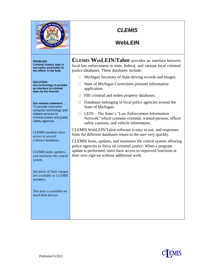

### **WebLEIN**

**PROBLEM:**

**Criminal history data is not easily accessible to the officer in the field.**

**SOLUTION: Use technology to provide an interface to criminal data via the Internet.**

**Our mission statement …**  To provide innovative computer technology and related services to criminal justice and public safety agencies . . .

*CLEMIS members have access to several criminal databases.*

*CLEMIS hosts, updates, and maintains the central system.*

*Secretary of State images are available to CLEMIS members.*

*This data is available on hand-held devices.*

**CLEMIS WebLEIN/Talon** provides an interface between local law enforcement to state, federal, and various local criminal justice databases. These databases include:

- $\Box$  Michigan Secretary of State driving records and images.
- $\Box$  State of Michigan Corrections prisoner information application.
- $\Box$  FBI criminal and stolen property databases.
- $\Box$  Databases belonging to local police agencies around the State of Michigan.
- LEIN The State's "Law Enforcement Information Network" which contains criminal, wanted persons, officer safety cautions, and vehicle information.

CLEMIS WebLEIN/Talon software is easy to use, and responses from the different databases return to the user very quickly.

CLEMIS hosts, updates, and maintains the central system allowing police agencies to focus on criminal justice. When a program update is performed, users have access to improved functions at their next sign-on without additional work.

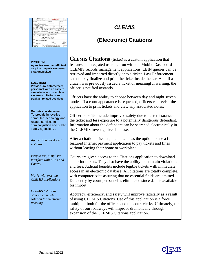| State of Michigan<br>Uniform Law Citation<br><sup>10</sup> 08RO00127<br>AUBURN HILLS<br>ponec Month Day Year Atlasses<br>20<br><b>A Ope Clast</b> One<br>D616067108888<br>F 5'03' 130<br>ANNE CARR DRIVER<br>7064 CROWNER DR<br>LANSING<br>48912<br>2017 M 1986 OLDSMOBILE WHITE<br>999YZZ | <b>CLEMIS</b><br><b>(Electronic) Citations</b>                                                                                                                                                                                                                                                                                                                                                                                                      |
|--------------------------------------------------------------------------------------------------------------------------------------------------------------------------------------------------------------------------------------------------------------------------------------------|-----------------------------------------------------------------------------------------------------------------------------------------------------------------------------------------------------------------------------------------------------------------------------------------------------------------------------------------------------------------------------------------------------------------------------------------------------|
| <b>PROBLEM:</b><br>Agencies need an efficient<br>way to complete electronic<br>citations/tickets.<br><b>SOLUTION:</b><br><b>Provide law enforcement</b><br>personnel with an easy to<br>use interface to complete<br>electronic citations and                                              | <b>CLEMIS Citations</b> (ticket) is a custom application that<br>features an integrated user sign-on with the Mobile Dashboard and<br>CLEMIS records management applications. LEIN queries can be<br>retrieved and imported directly onto a ticket. Law Enforcement<br>can quickly finalize and print the ticket inside the car. And, if a<br>citizen was previously issued a ticket or meaningful warning, the<br>officer is notified instantly.   |
| track all related activities.<br>Our mission statement<br>To provide innovative<br>computer technology and<br>related services to<br>criminal justice and public<br>safety agencies                                                                                                        | Officers have the ability to choose between day and night screen<br>modes. If a court appearance is requested, officers can revisit the<br>application to print tickets and view any associated notes.<br>Officer benefits include improved safety due to faster issuance of<br>the ticket and less exposure to a potentially dangerous defendant.<br>Information about the defendant can be searched electronically in                             |
| <b>Application developed</b><br><i>in-house.</i>                                                                                                                                                                                                                                           | the CLEMIS investigative database.<br>After a citation is issued, the citizen has the option to use a full-<br>featured Internet payment application to pay tickets and fines<br>without leaving their home or workplace.                                                                                                                                                                                                                           |
| Easy to use, simplistic<br>interface with LEIN and<br>Courts.<br>Works with existing<br><b>CLEMIS</b> applications.                                                                                                                                                                        | Courts are given access to the Citations application to download<br>and print tickets. They also have the ability to maintain violations<br>and fees. Judicial benefits include legible tickets with immediate<br>access in an electronic database. All citations are totally complete,<br>with computer edits assuring that no essential fields are omitted.<br>Data entry by court personnel is eliminated since data is available<br>for import. |
| <b>CLEMIS</b> Citations<br>offers a complete<br>solution for electronic<br>ticketing.                                                                                                                                                                                                      | Accuracy, efficiency, and safety will improve radically as a result<br>of using CLEMIS Citations. Use of this application is a force<br>multiplier both for the officers and the court clerks. Ultimately, the<br>safety of our roadways will improve dramatically through<br>expansion of the CLEMIS Citations application.                                                                                                                        |

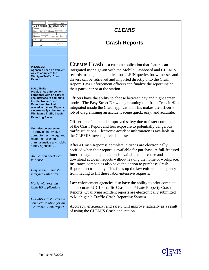| MI630023N            |                           |                           | STATE OF MICHIGAN TRAFFIC CRASH REPORT<br><b>Said Sara</b><br><b>CLEMIS TEST AGENCY</b> |                          |          |  |
|----------------------|---------------------------|---------------------------|-----------------------------------------------------------------------------------------|--------------------------|----------|--|
| an Tan<br>01/13/2012 | 11:10                     |                           | and False<br><b>ISOTHERUNIONN   CILLIANS</b>                                            | <b>Ship Drumberers</b>   |          |  |
| <b>43-DAKLAND</b>    |                           | NONE OF THESE IN HIM      | <b>Bower of Branke</b>                                                                  | Spout Tich               | CLEAR    |  |
| - ZZCLEMS CITY       |                           | contactor cost of sponger | 1 MeVille                                                                               |                          | DEFLIGHT |  |
| <b>Full</b><br>Ē     | <b>Road Rahe</b><br>TEST. |                           |                                                                                         | Real Tax                 |          |  |
| hawaii<br>100 FT N   |                           |                           | Also May                                                                                | 1-NOT PHYSICALLY DIVIDED |          |  |

### **Crash Reports**

#### **PROBLEM:**

**Agencies need an efficient way to complete the Michigan Traffic Crash Report.**

#### **SOLUTION:**

**Provide law enforcement personnel with an easy to use interface to complete the electronic Crash Report and track all related activities. Reports electronically submitted to Michigan's Traffic Crash Reporting System.**

**Our mission statement …**  To provide innovative computer technology and related services to criminal justice and public safety agencies . . .

*Application developed in-house.*

*Easy to use, simplistic interface with LEIN.*

*Works with existing CLEMIS applications.*

*CLEMIS Crash offers a complete solution for an electronic Crash Report.* **CLEMIS Crash** is a custom application that features an integrated user sign-on with the Mobile Dashboard and CLEMIS records management applications. LEIN queries for witnesses and drivers can be retrieved and imported directly onto the Crash Report. Law Enforcement officers can finalize the report inside their patrol car or at the station.

Officers have the ability to choose between day and night screen modes. The Easy Street Draw diagramming tool from Trancite® is integrated inside the Crash application. This makes the officer's job of diagramming an accident scene quick, easy, and accurate.

Officer benefits include improved safety due to faster completion of the Crash Report and less exposure to potentially dangerous traffic situations. Electronic accident information is available in the CLEMIS investigative database.

After a Crash Report is complete, citizens are electronically notified when their report is available for purchase. A full-featured Internet payment application is available to purchase and download accident reports without leaving the home or workplace. Insurance companies also have the option to purchase Crash Reports electronically. This frees up the law enforcement agency from having to fill these labor-intensive requests.

Law enforcement agencies also have the ability to print complete and accurate UD-10 Traffic Crash and Private Property Crash Reports. Qualifying accident reports are electronically submitted to Michigan's Traffic Crash Reporting System.

Accuracy, efficiency, and safety will improve radically as a result of using the CLEMIS Crash application.

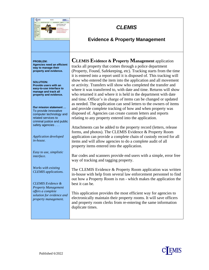

*Application developed in-house.*

*Easy to use, simplistic interface.*

*Works with existing CLEMIS applications.*

*CLEMIS Evidence & Property Management offers a complete solution for evidence and property management.*

**CLEMIS Evidence & Property Management** application tracks all property that comes through a police department (Property, Found, Safekeeping, etc). Tracking starts from the time it is entered into a report until it is disposed of. This tracking will show who entered the item into the application and all movement or activity. Transfers will show who completed the transfer and where it was transferred to, with date and time. Returns will show who returned it and where it is held in the department with date and time. Officer's in charge of items can be changed or updated as needed. The application can send letters to the owners of items and provide complete tracking of how and when property was disposed of. Agencies can create custom letters and reports relating to any property entered into the application.

*CLEMIS*

**Evidence & Property Management**

Attachments can be added to the property record (letters, release forms, and photos). The CLEMIS Evidence & Property Room application can provide a complete chain of custody record for all items and will allow agencies to do a complete audit of all property items entered into the application.

Bar codes and scanners provide end users with a simple, error free way of tracking and tagging property.

The CLEMIS Evidence & Property Room application was written in-house with help from several law enforcement personnel to find out how a Property Room is run - which makes the application the best it can be.

This application provides the most efficient way for agencies to electronically maintain their property rooms. It will save officers and property room clerks from re-entering the same information duplicate times.



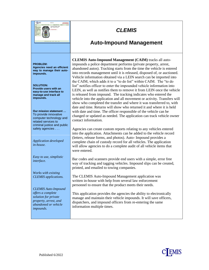

### **Auto-Impound Management**

**CLEMIS Auto-Impound Management (CAIM)** tracks all autoimpounds a police department performs (private property, arrest, abandoned autos). Tracking starts from the time the vehicle is entered into records management until it is released, disposed of, or auctioned. Vehicle information obtained via a LEIN search can be imported into the CAIM, which adds it to a "to do list" within CAIM. The "to do list" notifies officer to enter the impounded vehicle information into LEIN, as well as notifies them to remove it from LEIN once the vehicle is released from impound. The tracking indicates who entered the vehicle into the application and all movement or activity. Transfers will show who completed the transfer and where it was transferred to, with date and time. Returns will show who returned it and where it is held with date and time. The officer responsible of the vehicle can be changed or updated as needed. The application can track vehicle owner contact information.

Agencies can create custom reports relating to any vehicles entered into the application. Attachments can be added to the vehicle record (letters, release forms, and photos). Auto- Impound provides a complete chain of custody record for all vehicles. The application will allow agencies to do a complete audit of all vehicle items that were entered.

Bar codes and scanners provide end users with a simple, error free way of tracking and tagging vehicles. Impound slips can be created, printed, and emailed to towing companies.

The CLEMIS Auto-Impound Management application was written in-house with help from several law enforcement personnel to ensure that the product meets their needs.

This application provides the agencies the ability to electronically manage and maintain their vehicle impounds. It will save officers, dispatchers, and impound officers from re-entering the same information multiple times.

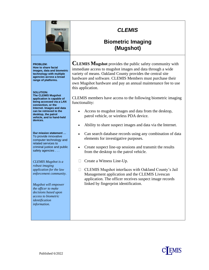

### **Biometric Imaging (Mugshot)**

**PROBLEM: How to share facial images, data and biometric technology with multiple agencies across a broad range of platforms.**

**WANTED** 

**SOLUTION: The CLEMIS Mugshot application is capable of being accessed via a LAN connection, or the Internet. Images and data can be retrieved to the desktop, the patrol** 

**vehicle, and to hand-held**

**devices.**

**Our mission statement …**  To provide innovative computer technology and related services to criminal justice and public safety agencies . . .

*CLEMIS Mugshot is a robust imaging application for the law enforcement community.*

*Mugshot will empower the officer to make decisions based upon access to biometric identification information.*

**CLEMIS Mugshot** provides the public safety community with immediate access to mugshot images and data through a wide variety of means. Oakland County provides the central site hardware and software. CLEMIS Members must purchase their own Mugshot hardware and pay an annual maintenance fee to use this application.

CLEMIS members have access to the following biometric imaging functionality:

- Access to mugshot images and data from the desktop, patrol vehicle, or wireless PDA device.
- Ability to share suspect images and data via the Internet.
- Can search database records using any combination of data elements for investigative purposes.
- Create suspect line-up sessions and transmit the results from the desktop to the patrol vehicle.
- □ Create a Witness Line-Up.
- CLEMIS Mugshot interfaces with Oakland County's Jail Management application and the CLEMIS Livescan application. The officer receives suspect image records linked by fingerprint identification.

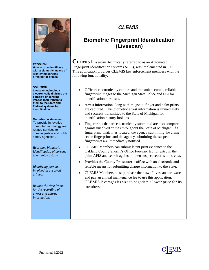

**PROBLEM: How to provide officers with a biometric means of identifying persons arrested for crimes.**

#### **SOLUTION:**

**Livescan technology electronically digitizes the person's fingerprint images then transmits them to the State and Federal systems for identification.**

**Our mission statement …**  To provide innovative computer technology and related services to criminal justice and public safety agencies . . .

*Real-time biometric identification of persons taken into custody.*

*Identifying persons involved in unsolved crimes.*

*Reduce the time frame for the recording of arrest and charge information.*

## *CLEMIS*

### **Biometric Fingerprint Identification (Livescan)**

**CLEMIS Livescan**, technically referred to as an Automated Fingerprint Identification System (AFIS), was implemented in 1995. This application provides CLEMIS law enforcement members with the following functionality:

- Officers electronically capture and transmit accurate, reliable fingerprint images to the Michigan State Police and FBI for identification purposes.
- Arrest information along with mugshot, finger and palm prints are captured. This biometric arrest information is immediately and securely transmitted to the State of Michigan for identification history lookups.
- Fingerprints that are electronically submitted are also compared against unsolved crimes throughout the State of Michigan. If a fingerprint "match" is located, the agency submitting the crime scene fingerprints and the agency submitting the suspect fingerprints are immediately notified.
- CLEMIS Members can submit latent print evidence to the Oakland County Sheriff's Office Forensic lab for entry in the palm AFIS and search against known suspect records at no cost.
- Provides the County Prosecutor's office with an electronic and reliable means for submitting charge information to the State.
- CLEMIS Members must purchase their own Livescan hardware and pay an annual maintenance fee to use this application. CLEMIS leverages its size to negotiate a lower price for its members.

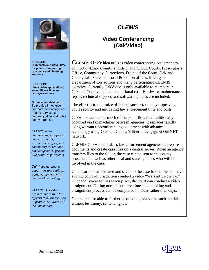

### **Video Conferencing (OakVideo)**

#### **PROBLEM:**

**High costs and travel time for police transporting prisoners and obtaining warrants.**

**SOLUTION: Use a video application to save officers time and taxpayers money.**

**Our mission statement …**  To provide innovative computer technology and related services to criminal justice and public safety agencies . . .

*CLEMIS video conferencing equipment connects courts, prosecutor's office, jail, community corrections, parole agencies, prisons, and police departments.*

*OakVideo automates paper flow and replaces aging equipment with advanced technology.*

*CLEMIS OakVideo provides more time for officers to be on the road to protect the citizens of the community.*

**CLEMIS OakVideo** utilizes video conferencing equipment to connect Oakland County's District and Circuit Courts, Prosecutor's Office, Community Corrections, Friend of the Court, Oakland County Jail, State and Local Probation offices, Michigan Department of Corrections and many participating CLEMIS agencies. Currently OakVideo is only available to members in Oakland County, and at no additional cost. Hardware, maintenance, repair, technical support, and software updates are included.

The effect is to minimize offender transport, thereby improving court security and mitigating law enforcement time and costs.

OakVideo automates much of the paper flow that traditionally occurred via fax machines between agencies. It replaces rapidly aging warrant teleconferencing equipment with advanced technology using Oakland County's fiber optic, gigabit OakNET network.

CLEMIS OakVideo enables law enforcement agencies to prepare documents and create case files on a central server. When an agency transfers files to the folder, the case can be sent to the county prosecutor as well as other local and state agencies who will be involved in the case.

Once warrants are created and saved to the case folder, the detective and the court of jurisdiction conduct a video "Warrant Swear To." Once the 'swear to' has taken place, the court can conduct a video arraignment. During normal business times, the booking and arraignment process can be completed in hours rather than days.

Courts are also able to further proceedings via video such as trials, witness testimony, sentencing, etc.

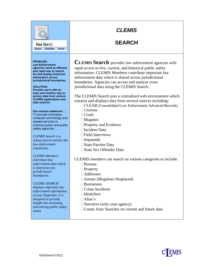### **SEARCH**

Alias Search: Person Identifier Arrest

#### **PROBLEM:**

**Law Enforcement agencies need an efficient and rapid way to search for and display historical information across jurisdictional boundaries.**

**SOLUTION: Provide users with an easy and intuitive way to access data from various CLEMIS applications and data sources.**

**Our mission statement …**  To provide innovative computer technology and related services to criminal justice and public safety agencies . . .

*CLEMIS Search is a robust search tool for the law enforcement community.*

*CLEMIS Members contribute law enforcement data which is shared across jurisdictional boundaries.*

#### *CLEMIS SEARCH*

*displays important law enforcement information at your fingertips. It is designed to provide insight into analyzing and solving public safety issues.*

**CLEMIS Search** provides law enforcement agencies with rapid access to live, current, and historical public safety information. CLEMIS Members contribute important law enforcement data which is shared across jurisdictional boundaries. Agencies can access and analyze cross jurisdictional data using the CLEMIS Search.

The CLEMIS Search uses a centralized web environment which extracts and displays data from several sources including:

CLEAR (Consolidated Law Enforcement Advanced Records)  $\Box$ Citations

 $\Box$ Crash

- Mugshot
- □ Property and Evidence
- Incident Data
- □Field Interviews
- $\Box$ Impounds
- State Parolee Data
- State Sex Offender Data

CLEMIS members can search on various categories to include:

- □ Persons
- □Property
- Addresses
- Arrests (Mugshots Displayed)
- Businesses
- Crime Incidents
- $\Box$ Identifiers
- Alias's
- $\Box$ Narrative (only your agency)
- □ Create Auto Searches on current and future data

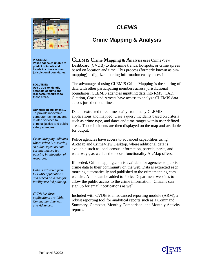| œ<br>43.9 | 1.40 |
|-----------|------|
|           | あみ物  |

## **Crime Mapping & Analysis**

| <b>PROBLEM:</b><br>Police agencies unable to<br>predict hotspots and<br>trends in crimes across<br>jurisdictional boundaries.                      | <b>CLEMIS Crime Mapping &amp; Analysis uses CrimeView</b><br>Dashboard (CVDB) to determine trends, hotspots, or crime sprees<br>based on location and time. This process (formerly known as pin-<br>mapping) is digitized making information easily accessible.                                                                                                                      |
|----------------------------------------------------------------------------------------------------------------------------------------------------|--------------------------------------------------------------------------------------------------------------------------------------------------------------------------------------------------------------------------------------------------------------------------------------------------------------------------------------------------------------------------------------|
| <b>SOLUTION:</b><br><b>Use CVDB to identify</b><br>hotspots of crime and<br>reallocate resources to<br>those areas.                                | The advantage of using CLEMIS Crime Mapping is the sharing of<br>data with other participating members across jurisdictional<br>boundaries. CLEMIS agencies inputting data into RMS, CAD,<br>Citation, Crash and Arrests have access to analyze CLEMIS data<br>across jurisdictional lines.                                                                                          |
| Our mission statement<br>To provide innovative<br>computer technology and<br>related services to<br>criminal justice and public<br>safety agencies | Data is extracted three times daily from many CLEMIS<br>applications and mapped. User's query incidents based on criteria<br>such as crime type, and dates and time ranges within user defined<br>areas. Those incidents are then displayed on the map and available<br>for output.                                                                                                  |
| Crime Mapping indicates<br>where crime is occurring<br>so police agencies can<br>use intelligence led<br>policing in allocation of<br>resources.   | Police agencies have access to advanced capabilities using<br>ArcMap and CrimeView Desktop, where additional data is<br>available such as local census information, parcels, parks, and<br>waterways, as well as the robust functionality ArcMap offers.                                                                                                                             |
| Data is extracted from<br><b>CLEMIS</b> applications<br>and placed on a map for<br>intelligence led policing.                                      | If needed, Crime mapping.com is available for agencies to publish<br>crime data to their community on the web. Data is extracted each<br>morning automatically and published to the crime mapping.com<br>website. A link can be added to Police Department websites to<br>allow the public access to the crime information. Citizens can<br>sign up for email notifications as well. |
| <b>CVDB</b> has three<br>applications available:<br>Community, Internal,<br>and Advanced.                                                          | Included with CVDB is an advanced reporting module (ARM), a<br>robust reporting tool for analytical reports such as a Command<br>Summary, Compstat, Monthly Comparison, and Monthly Activity<br>reports.                                                                                                                                                                             |

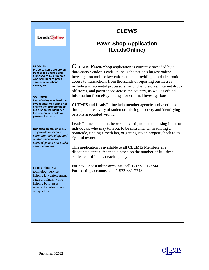| <b>LeadsQnline</b>                                                                                                                                                                                                                             | <b>CLEMIS</b><br><b>Pawn Shop Application</b><br>(LeadsOnline)                                                                                                                                                                                                                                                                                                                                                                                                                                                                                         |
|------------------------------------------------------------------------------------------------------------------------------------------------------------------------------------------------------------------------------------------------|--------------------------------------------------------------------------------------------------------------------------------------------------------------------------------------------------------------------------------------------------------------------------------------------------------------------------------------------------------------------------------------------------------------------------------------------------------------------------------------------------------------------------------------------------------|
| <b>PROBLEM:</b><br>Property items are stolen<br>from crime scenes and<br>disposed of by criminals<br>who sell them to pawn<br>shops, secondhand<br>stores, etc.<br><b>SOLUTION:</b><br>LeadsOnline may lead the<br>investigator of a crime not | <b>CLEMIS Pawn-Shop</b> application is currently provided by a<br>third-party vendor. LeadsOnline is the nation's largest online<br>investigation tool for law enforcement, providing rapid electronic<br>access to transactions from thousands of reporting businesses<br>including scrap metal processors, secondhand stores, Internet drop-<br>off stores, and pawn shops across the country, as well as critical<br>information from eBay listings for criminal investigations.<br><b>CLEMIS</b> and LeadsOnline help member agencies solve crimes |
| only to the property itself,<br>but also to the identity of<br>the person who sold or<br>pawned the item.                                                                                                                                      | through the recovery of stolen or missing property and identifying<br>persons associated with it.                                                                                                                                                                                                                                                                                                                                                                                                                                                      |
| Our mission statement<br>To provide innovative<br>computer technology and<br>related services to<br>criminal justice and public<br>safety agencies                                                                                             | LeadsOnline is the link between investigators and missing items or<br>individuals who may turn out to be instrumental in solving a<br>homicide, finding a meth lab, or getting stolen property back to its<br>rightful owner.                                                                                                                                                                                                                                                                                                                          |
|                                                                                                                                                                                                                                                | This application is available to all CLEMIS Members at a<br>discounted annual fee that is based on the number of full-time<br>equivalent officers at each agency.                                                                                                                                                                                                                                                                                                                                                                                      |
| LeadsOnline is a<br>technology service<br>helping law enforcement<br>catch criminals, while<br>helping businesses<br>reduce the tedious task<br>of reporting.                                                                                  | For new LeadsOnline accounts, call 1-972-331-7744.<br>For existing accounts, call 1-972-331-7748.                                                                                                                                                                                                                                                                                                                                                                                                                                                      |
|                                                                                                                                                                                                                                                |                                                                                                                                                                                                                                                                                                                                                                                                                                                                                                                                                        |

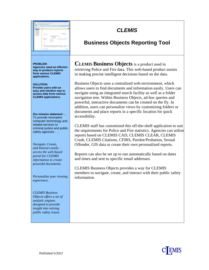

#### **PROBLEM:**

**Agencies need an efficient way to produce reports from various CLEMIS applications.**

#### **SOLUTION: Provide users with an easy and intuitive way to access data from various CLEMIS applications.**

**Our mission statement …**  To provide innovative computer technology and related services to criminal justice and public safety agencies . . .

*Navigate, Create, and Interact easily access the web-based portal for CLEMIS information to create powerful documents.*

*Personalize your viewing experience.*

*CLEMIS Business Objects offers a set of analytic engines designed to provide insight into solving public safety issues.*

## *CLEMIS*

### **Business Objects Reporting Tool**

**CLEMIS Business Objects** is a product used in retrieving Police and Fire data. This web-based product assists in making precise intelligent decisions based on the data.

Business Objects uses a centralized web environment, which allows users to find documents and information easily. Users can navigate using an integrated search facility as well as a folder navigation tree. Within Business Objects, ad-hoc queries and powerful, interactive documents can be created on the fly. In addition, users can personalize views by customizing folders or documents and place reports in a specific location for quick accessibility.

CLEMIS staff has customized this off-the-shelf application to suit the requirements for Police and Fire statistics. Agencies can utilize reports based on CLEMIS CAD, CLEMIS CLEAR, CLEMIS Crash, CLEMIS Citations, CFIRS, Parolee/Probation, Sexual Offender, GIS data or create their own personalized reports.

Reports can also be set up to run automatically based on dates and times and sent to specific email addresses.

CLEMIS Business Objects provides a way for CLEMIS members to navigate, create, and interact with their public safety information.

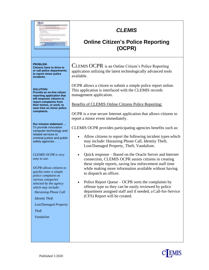| <b>C</b> EMIS<br><b>Online Citizens Police Reporting Sys</b><br>If this is an Emergency please call of<br>to The schools apart to but spring its                                                                                                                                                                         | <b>CLEMIS</b><br><b>Online Citizen's Police Reporting</b><br>(OCPR)                                                                                                                                                                                                                                                                                                                                                                                                                          |
|--------------------------------------------------------------------------------------------------------------------------------------------------------------------------------------------------------------------------------------------------------------------------------------------------------------------------|----------------------------------------------------------------------------------------------------------------------------------------------------------------------------------------------------------------------------------------------------------------------------------------------------------------------------------------------------------------------------------------------------------------------------------------------------------------------------------------------|
| <b>PROBLEM:</b><br>Citizens have to drive to<br>or call police departments<br>to report minor police<br>incidents.                                                                                                                                                                                                       | CLEMIS OCPR is an Online Citizen's Police Reporting<br>application utilizing the latest technologically advanced tools<br>available.                                                                                                                                                                                                                                                                                                                                                         |
| <b>SOLUTION:</b><br>Provide an on-line citizen<br>reporting application that<br>will empower citizens to<br>report complaints from<br>their homes, or work, to<br>save time on minor police<br>complaints.<br>Our mission statement                                                                                      | OCPR allows a citizen to submit a simple police report online.<br>This application is interfaced with the CLEMIS records<br>management application.<br>Benefits of CLEMIS Online Citizens Police Reporting:<br>OCPR is a true secure Internet application that allows citizens to<br>report a minor event immediately.                                                                                                                                                                       |
| To provide innovative<br>computer technology and<br>related services to<br>criminal justice and public<br>safety agencies                                                                                                                                                                                                | CLEMIS OCPR provides participating agencies benefits such as:<br>Allow citizens to report the following incident types which<br>may include: Harassing Phone Call, Identity Theft,<br>Lost/Damaged Property, Theft, Vandalism.                                                                                                                                                                                                                                                               |
| <b>CLEMIS OCPR</b> is very<br>easy to use.<br><b>OCPR</b> allows citizens to<br>quickly enter a simple<br>police complaint on<br>various categories<br>selected by the agency<br>which may include:<br><b>Harassing Phone Call</b><br><b>Identity Theft</b><br><b>Lost/Damaged Property</b><br><b>Theft</b><br>Vandalism | Quick response – Based on the Oracle Server and Internet<br>$\bullet$<br>connection, CLEMIS OCPR assists citizens in creating<br>these simple reports, saving law enforcement staff time<br>while making more information available without having<br>to dispatch an officer.<br>Police Report Queue – OCPR sorts the complaints by<br>offense type so they can be easily reviewed by police<br>department assigned staff and if needed, a Call-for-Service<br>(CFS) Report will be created. |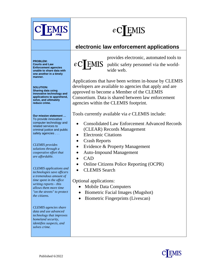

**EMIS** 

## **electronic law enforcement applications**

**PROBLEM: Courts and Law Enforcement agencies unable to share data with one another in a timely manner.**

**SOLUTION: Sharing data using innovative technology and applications to apprehend, solve, and ultimately reduce crime.**

**Our mission statement …**  To provide innovative computer technology and related services to criminal justice and public safety agencies . . .

*CLEMIS provides solutions through a cooperative effort that are affordable.*

*CLEMIS applications and technologies save officers a tremendous amount of time spent in the office writing reports - this allows them more time "on the streets" to protect the citizens.*

*CLEMIS agencies share data and use advanced technology that improves homeland security, identifies suspects, and solves crime.*



provides electronic, automated tools to  $eC$ [EMIS public safety personnel via the worldwide web.

Applications that have been written in-house by CLEMIS developers are available to agencies that apply and are approved to become a Member of the CLEMIS Consortium. Data is shared between law enforcement agencies within the CLEMIS footprint.

Tools currently available via *e* CLEMIS include:

- Consolidated Law Enforcement Advanced Records (CLEAR) Records Management
- Electronic Citations
- Crash Reports
- Evidence & Property Management
- Auto-Impound Management
- CAD
- Online Citizens Police Reporting (OCPR)
- CLEMIS Search

Optional applications:

- Mobile Data Computers
- Biometric Facial Images (Mugshot)
- Biometric Fingerprints (Livescan)

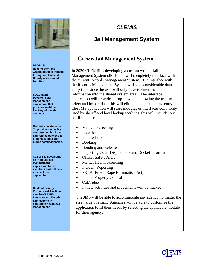

### **Jail Management System**

#### **PROBLEM:**

**Need to track the whereabouts of inmates throughout Oakland County correctional facilities.**

**SOLUTION: Develop a Jail Management application that provides real-time tracking of inmate activities.**

**Our mission statement: To provide innovative computer technology and related services to criminal justice and public safety agencies.**

**CLEMIS is developing an in-house jail management application for its members and will be a true regional application.** 

**Oakland County Correctional Facilities use the CLEMIS Livescan and Mugshot applications in conjunction with Jail Management.**

### **CLEMIS Jail Management System**

In 2020 CLEMIS is developing a custom written Jail Management System (JMS) that will completely interface with the current Records Management System. The interface with the Records Management System will save considerable data entry time since the user will only have to enter their information into the shared system area. The interface application will provide a drop-down list allowing the user to select and import data, this will eliminate duplicate data entry. The JMS application will store modules or interfaces commonly used by sheriff and local lockup facilities, this will include, but not limited to:

- Medical Screening
- Live Scan
- Picture Link
- Booking
- Bonding and Release
- Importing Court Dispositions and Docket Information
- Officer Safety Alert
- Mental Health Screening
- Incident Reporting
- PREA (Prison Rape Elimination Act)
- Inmate Property Control
- OakVideo
- Inmate activities and movements will be tracked

The JMS will be able to accommodate any agency no matter the size, large or small. Agencies will be able to customize the application to fit their needs by selecting the applicable module for their agency.

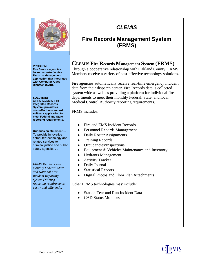

### **Fire Records Management System (FRMS)**

#### **PROBLEM:**

**Fire Service agencies lacked a cost-effective Records Management application that integrates with Computer Aided Dispatch (CAD).**

**SOLUTION: CFIRS (CLEMIS Fire Integrated Records System) provides a cost-effective standard software application to meet Federal and State reporting requirements.**

**Our mission statement …**  To provide innovative computer technology and related services to criminal justice and public safety agencies . . .

*FRMS Members meet monthly Federal, State and National Fire Incident Reporting System (NFIRS) reporting requirements easily and efficiently.*

### **CLEMIS Fire Records Management System (FRMS)**

Through a cooperative relationship with Oakland County, FRMS Members receive a variety of cost-effective technology solutions.

Fire agencies automatically receive real-time emergency incident data from their dispatch center. Fire Records data is collected system wide as well as providing a platform for individual fire departments to meet their monthly Federal, State, and local Medical Control Authority reporting requirements.

FRMS includes:

- Fire and EMS Incident Records
- Personnel Records Management
- Daily Roster Assignments
- Training Records
- Occupancies/Inspections
- Equipment & Vehicles Maintenance and Inventory
- Hydrants Management
- Activity Tracker
- Daily Journal
- Statistical Reports
- Digital Photos and Floor Plan Attachments

Other FRMS technologies may include:

- Station Tear and Run Incident Data
- CAD Status Monitors